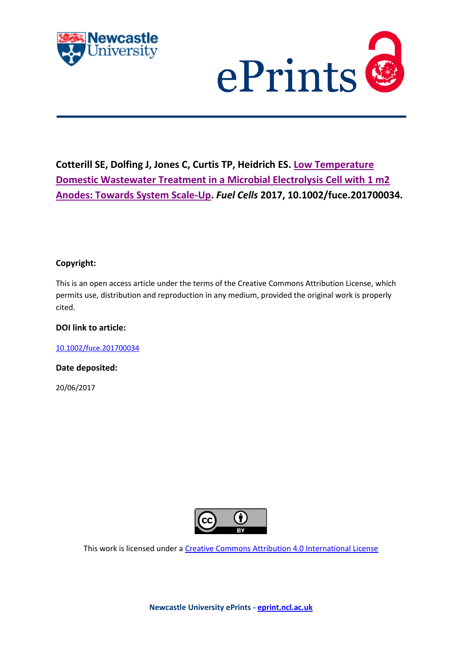



# **Cotterill SE, Dolfing J, Jones C, Curtis TP, Heidrich ES. [Low Temperature](http://eprint.ncl.ac.uk/pub_details2.aspx?pub_id=238928)  [Domestic Wastewater Treatment in a Microbial Electrolysis Cell with 1 m2](http://eprint.ncl.ac.uk/pub_details2.aspx?pub_id=238928)  [Anodes: Towards System Scale-Up.](http://eprint.ncl.ac.uk/pub_details2.aspx?pub_id=238928)** *Fuel Cells* **2017, 10.1002/fuce.201700034.**

## **Copyright:**

This is an open access article under the terms of the Creative Commons Attribution License, which permits use, distribution and reproduction in any medium, provided the original work is properly cited.

## **DOI link to article:**

[10.1002/fuce.201700034](https://doi.org/10.1002/fuce.201700034)

**Date deposited:** 

20/06/2017



This work is licensed under [a Creative Commons Attribution 4.0 International License](http://creativecommons.org/licenses/by/4.0/)

**Newcastle University ePrints - [eprint.ncl.ac.uk](http://eprint.ncl.ac.uk/)**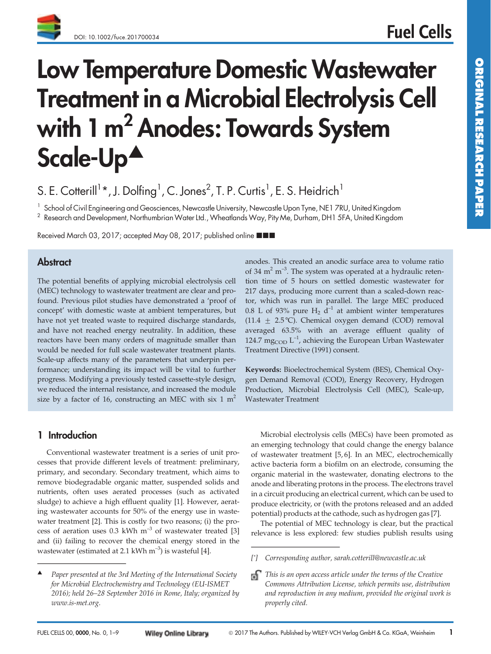# Low Temperature Domestic Wastewater Treatment in a Microbial Electrolysis Cell with 1 m<sup>2</sup> Anodes: Towards System Scale-Up<sup> $\blacktriangle$ </sup>

S. E. Cotterill<sup>1</sup>\*, J. Dolfing<sup>1</sup>, C. Jones<sup>2</sup>, T. P. Curtis<sup>1</sup>, E. S. Heidrich<sup>1</sup>

<sup>1</sup> School of Civil Engineering and Geosciences, Newcastle University, Newcastle Upon Tyne, NE1 7RU, United Kingdom

 $^2$  Research and Development, Northumbrian Water Ltd., Wheatlands Way, Pity Me, Durham, DH1 5FA, United Kingdom

Received March 03, 2017; accepted May 08, 2017; published online ■■■

# **Abstract**

The potential benefits of applying microbial electrolysis cell (MEC) technology to wastewater treatment are clear and profound. Previous pilot studies have demonstrated a 'proof of concept' with domestic waste at ambient temperatures, but have not yet treated waste to required discharge standards, and have not reached energy neutrality. In addition, these reactors have been many orders of magnitude smaller than would be needed for full scale wastewater treatment plants. Scale-up affects many of the parameters that underpin performance; understanding its impact will be vital to further progress. Modifying a previously tested cassette-style design, we reduced the internal resistance, and increased the module size by a factor of 16, constructing an MEC with six 1  $m<sup>2</sup>$ 

anodes. This created an anodic surface area to volume ratio of 34  $m<sup>2</sup> m<sup>-3</sup>$ . The system was operated at a hydraulic retention time of 5 hours on settled domestic wastewater for 217 days, producing more current than a scaled-down reactor, which was run in parallel. The large MEC produced 0.8 L of 93% pure  $H_2$  d<sup>-1</sup> at ambient winter temperatures  $(11.4 \pm 2.5 \degree C)$ . Chemical oxygen demand (COD) removal averaged 63.5% with an average effluent quality of 124.7 mg<sub>COD</sub>  $L^{-1}$ , achieving the European Urban Wastewater Treatment Directive (1991) consent.

Keywords: Bioelectrochemical System (BES), Chemical Oxygen Demand Removal (COD), Energy Recovery, Hydrogen Production, Microbial Electrolysis Cell (MEC), Scale-up, Wastewater Treatment

# 1 Introduction

Conventional wastewater treatment is a series of unit processes that provide different levels of treatment: preliminary, primary, and secondary. Secondary treatment, which aims to remove biodegradable organic matter, suspended solids and nutrients, often uses aerated processes (such as activated sludge) to achieve a high effluent quality [1]. However, aerating wastewater accounts for 50% of the energy use in wastewater treatment [2]. This is costly for two reasons; (i) the process of aeration uses 0.3 kWh  $m^{-3}$  of wastewater treated [3] and (ii) failing to recover the chemical energy stored in the wastewater (estimated at 2.1 kWh  $m^{-3}$ ) is wasteful [4]. **1 Introduction**<br>Conventional wastewate<br>cesses that provide differer<br>primary, and secondary. Se<br>remove biodegradable org,<br>nutrients, often uses aera<br>sludge) to achieve a high e<br>ing wastewater accounts fo<br>water treatment [

Microbial electrolysis cells (MECs) have been promoted as an emerging technology that could change the energy balance of wastewater treatment [5, 6]. In an MEC, electrochemically active bacteria form a biofilm on an electrode, consuming the organic material in the wastewater, donating electrons to the anode and liberating protons in the process. The electrons travel in a circuit producing an electrical current, which can be used to produce electricity, or (with the protons released and an added potential) products at the cathode, such as hydrogen gas [7]. Microbial electrolysis ce<br>
an emerging technology tha<br>
of wastewater treatment [<sup>1</sup>]<br>
active bacteria form a biofi<br>
organic material in the wa<br>
anode and liberating proton<br>
in a circuit producing an ele<br>
produce electricit

The potential of MEC technology is clear, but the practical relevance is less explored: few studies publish results using

Paper presented at the 3rd Meeting of the International Society for Microbial Electrochemistry and Technology (EU-ISMET 2016); held 26–28 September 2016 in Rome, Italy; organized by www.is-met.org.

<sup>[\*]</sup> Corresponding author, sarah.cotterill@newcastle.ac.uk

 $\Box$  This is an open access article under the terms of the Creative Commons Attribution License, which permits use, distribution and reproduction in any medium, provided the original work is properly cited.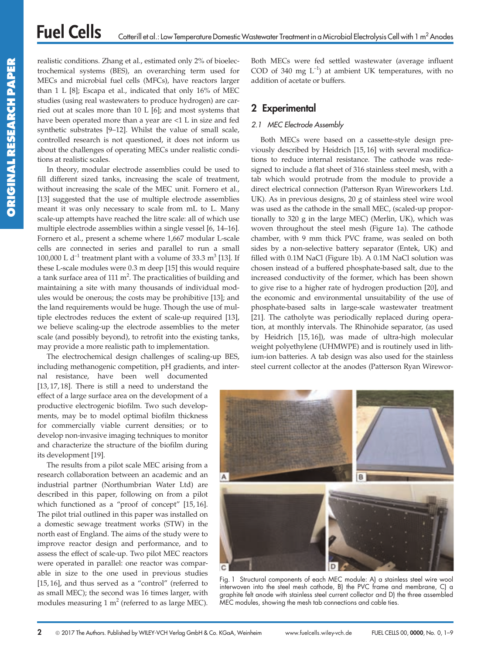realistic conditions. Zhang et al., estimated only 2% of bioelectrochemical systems (BES), an overarching term used for MECs and microbial fuel cells (MFCs), have reactors larger than 1 L [8]; Escapa et al., indicated that only 16% of MEC studies (using real wastewaters to produce hydrogen) are carried out at scales more than 10 L [6]; and most systems that have been operated more than a year are <1 L in size and fed synthetic substrates [9–12]. Whilst the value of small scale, controlled research is not questioned, it does not inform us about the challenges of operating MECs under realistic conditions at realistic scales.

In theory, modular electrode assemblies could be used to fill different sized tanks, increasing the scale of treatment, without increasing the scale of the MEC unit. Fornero et al., [13] suggested that the use of multiple electrode assemblies meant it was only necessary to scale from mL to L. Many scale-up attempts have reached the litre scale: all of which use multiple electrode assemblies within a single vessel [6, 14–16]. Fornero et al., present a scheme where 1,667 modular L-scale cells are connected in series and parallel to run a small 100,000 L  $d^{-1}$  treatment plant with a volume of 33.3 m<sup>3</sup> [13]. If these L-scale modules were 0.3 m deep [15] this would require a tank surface area of 111  $m^2$ . The practicalities of building and maintaining a site with many thousands of individual modules would be onerous; the costs may be prohibitive [13]; and the land requirements would be huge. Though the use of multiple electrodes reduces the extent of scale-up required [13], we believe scaling-up the electrode assemblies to the meter scale (and possibly beyond), to retrofit into the existing tanks, may provide a more realistic path to implementation.

The electrochemical design challenges of scaling-up BES, including methanogenic competition, pH gradients, and inter-

nal resistance, have been well documented [13, 17, 18]. There is still a need to understand the effect of a large surface area on the development of a productive electrogenic biofilm. Two such developments, may be to model optimal biofilm thickness for commercially viable current densities; or to develop non-invasive imaging techniques to monitor and characterize the structure of the biofilm during its development [19].

The results from a pilot scale MEC arising from a research collaboration between an academic and an industrial partner (Northumbrian Water Ltd) are described in this paper, following on from a pilot which functioned as a "proof of concept" [15, 16]. The pilot trial outlined in this paper was installed on a domestic sewage treatment works (STW) in the north east of England. The aims of the study were to improve reactor design and performance, and to assess the effect of scale-up. Two pilot MEC reactors were operated in parallel: one reactor was comparable in size to the one used in previous studies [15, 16], and thus served as a "control" (referred to as small MEC); the second was 16 times larger, with modules measuring 1  $m<sup>2</sup>$  (referred to as large MEC).

Both MECs were fed settled wastewater (average influent COD of 340 mg  $L^{-1}$ ) at ambient UK temperatures, with no addition of acetate or buffers.

# 2 Experimental

## 2.1 MEC Electrode Assembly

Both MECs were based on a cassette-style design previously described by Heidrich [15, 16] with several modifications to reduce internal resistance. The cathode was redesigned to include a flat sheet of 316 stainless steel mesh, with a tab which would protrude from the module to provide a direct electrical connection (Patterson Ryan Wireworkers Ltd. UK). As in previous designs, 20 g of stainless steel wire wool was used as the cathode in the small MEC, (scaled-up proportionally to 320 g in the large MEC) (Merlin, UK), which was woven throughout the steel mesh (Figure 1a). The cathode chamber, with 9 mm thick PVC frame, was sealed on both sides by a non-selective battery separator (Entek, UK) and filled with 0.1M NaCl (Figure 1b). A 0.1M NaCl solution was chosen instead of a buffered phosphate-based salt, due to the increased conductivity of the former, which has been shown to give rise to a higher rate of hydrogen production [20], and the economic and environmental unsuitability of the use of phosphate-based salts in large-scale wastewater treatment [21]. The catholyte was periodically replaced during operation, at monthly intervals. The Rhinohide separator, (as used by Heidrich [15, 16]), was made of ultra-high molecular weight polyethylene (UHMWPE) and is routinely used in lithium-ion batteries. A tab design was also used for the stainless steel current collector at the anodes (Patterson Ryan Wirewor-



Fig. 1 Structural components of each MEC module: A) a stainless steel wire wool interwoven into the steel mesh cathode, B) the PVC frame and membrane, C) a graphite felt anode with stainless steel current collector and D) the three assembled MEC modules, showing the mesh tab connections and cable ties.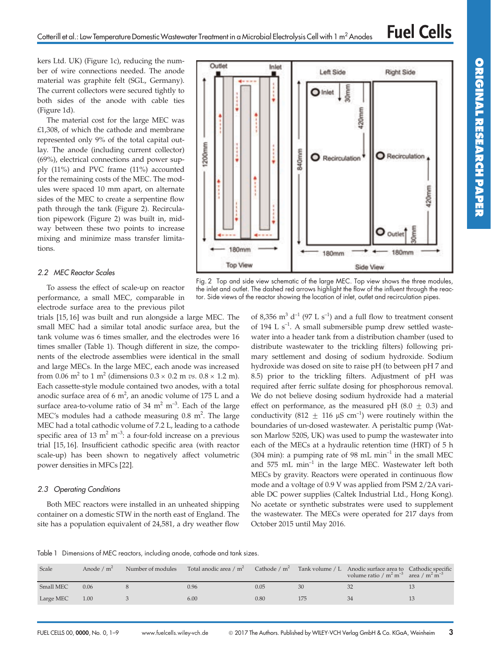Outlet

Inlet

**Right Side** 

kers Ltd. UK) (Figure 1c), reducing the number of wire connections needed. The anode material was graphite felt (SGL, Germany). The current collectors were secured tightly to both sides of the anode with cable ties (Figure 1d).

The material cost for the large MEC was  $£1,308$ , of which the cathode and membrane represented only 9% of the total capital outlay. The anode (including current collector) (69%), electrical connections and power supply (11%) and PVC frame (11%) accounted for the remaining costs of the MEC. The modules were spaced 10 mm apart, on alternate sides of the MEC to create a serpentine flow path through the tank (Figure 2). Recirculation pipework (Figure 2) was built in, midway between these two points to increase mixing and minimize mass transfer limitations.

## 2.2 MEC Reactor Scales

To assess the effect of scale-up on reactor performance, a small MEC, comparable in electrode surface area to the previous pilot

trials [15, 16] was built and run alongside a large MEC. The small MEC had a similar total anodic surface area, but the tank volume was 6 times smaller, and the electrodes were 16 times smaller (Table 1). Though different in size, the components of the electrode assemblies were identical in the small and large MECs. In the large MEC, each anode was increased from 0.06 m<sup>2</sup> to 1 m<sup>2</sup> (dimensions  $0.3 \times 0.2$  m *vs.*  $0.8 \times 1.2$  m). Each cassette-style module contained two anodes, with a total anodic surface area of 6  $m^2$ , an anodic volume of 175 L and a surface area-to-volume ratio of 34  $m^2 m^{-3}$ . Each of the large MEC's modules had a cathode measuring  $0.8 \text{ m}^2$ . The large MEC had a total cathodic volume of 7.2 L, leading to a cathode specific area of 13  $m^2 m^{-3}$ : a four-fold increase on a previous trial [15, 16]. Insufficient cathodic specific area (with reactor scale-up) has been shown to negatively affect volumetric power densities in MFCs [22].

#### 2.3 Operating Conditions

Both MEC reactors were installed in an unheated shipping container on a domestic STW in the north east of England. The site has a population equivalent of 24,581, a dry weather flow



Left Side

Fig. 2 Top and side view schematic of the large MEC. Top view shows the three modules, the inlet and outlet. The dashed red arrows highlight the flow of the influent through the reactor. Side views of the reactor showing the location of inlet, outlet and recirculation pipes.

of 8,356  $m^3$  d<sup>-1</sup> (97 L s<sup>-1</sup>) and a full flow to treatment consent of 194 L  $s^{-1}$ . A small submersible pump drew settled wastewater into a header tank from a distribution chamber (used to distribute wastewater to the trickling filters) following primary settlement and dosing of sodium hydroxide. Sodium hydroxide was dosed on site to raise pH (to between pH 7 and 8.5) prior to the trickling filters. Adjustment of pH was required after ferric sulfate dosing for phosphorous removal. We do not believe dosing sodium hydroxide had a material effect on performance, as the measured pH  $(8.0 \pm 0.3)$  and conductivity (812  $\pm$  116 µS cm<sup>-1</sup>) were routinely within the boundaries of un-dosed wastewater. A peristaltic pump (Watson Marlow 520S, UK) was used to pump the wastewater into each of the MECs at a hydraulic retention time (HRT) of 5 h (304 min): a pumping rate of 98 mL min $^{-1}$  in the small MEC and  $575$  mL min $^{-1}$  in the large MEC. Wastewater left both MECs by gravity. Reactors were operated in continuous flow mode and a voltage of 0.9 V was applied from PSM 2/2A variable DC power supplies (Caltek Industrial Ltd., Hong Kong). No acetate or synthetic substrates were used to supplement the wastewater. The MECs were operated for 217 days from October 2015 until May 2016.

Table 1 Dimensions of MEC reactors, including anode, cathode and tank sizes.

| Scale          | Anode $/m^2$ | Number of modules Total anodic area / $m^2$ Cathode / $m^2$ Tank volume / L Anodic surface area to Cathodic specific |      |     | volume ratio / $m^2 m^{-3}$ area / $m^2 m^{-3}$ |  |
|----------------|--------------|----------------------------------------------------------------------------------------------------------------------|------|-----|-------------------------------------------------|--|
| Small MEC      | 0.06         | 0.96                                                                                                                 | 0.05 | 30  | 32                                              |  |
| Large MEC 1.00 |              | 6.00                                                                                                                 | 0.80 | 175 | 34                                              |  |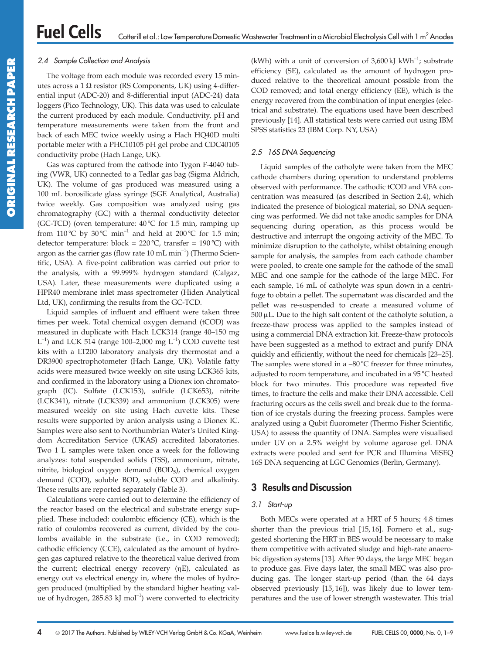## 2.4 Sample Collection and Analysis

The voltage from each module was recorded every 15 minutes across a 1  $\Omega$  resistor (RS Components, UK) using 4-differential input (ADC-20) and 8-differential input (ADC-24) data loggers (Pico Technology, UK). This data was used to calculate the current produced by each module. Conductivity, pH and temperature measurements were taken from the front and back of each MEC twice weekly using a Hach HQ40D multi portable meter with a PHC10105 pH gel probe and CDC40105 conductivity probe (Hach Lange, UK).

Gas was captured from the cathode into Tygon F-4040 tubing (VWR, UK) connected to a Tedlar gas bag (Sigma Aldrich, UK). The volume of gas produced was measured using a 100 mL borosilicate glass syringe (SGE Analytical, Australia) twice weekly. Gas composition was analyzed using gas chromatography (GC) with a thermal conductivity detector (GC-TCD) (oven temperature:  $40\degree$ C for 1.5 min, ramping up from 110°C by 30°C min $^{-1}$  and held at 200°C for 1.5 min; detector temperature:  $block = 220 °C$ , transfer = 190 °C) with argon as the carrier gas (flow rate  $10 \text{ mL min}^{-1}$ ) (Thermo Scientific, USA). A five-point calibration was carried out prior to the analysis, with a 99.999% hydrogen standard (Calgaz, USA). Later, these measurements were duplicated using a HPR40 membrane inlet mass spectrometer (Hiden Analytical Ltd, UK), confirming the results from the GC-TCD.

Liquid samples of influent and effluent were taken three times per week. Total chemical oxygen demand (tCOD) was measured in duplicate with Hach LCK314 (range 40–150 mg  $L^{-1}$ ) and LCK 514 (range 100–2,000 mg  $L^{-1}$ ) COD cuvette test kits with a LT200 laboratory analysis dry thermostat and a DR3900 spectrophotometer (Hach Lange, UK). Volatile fatty acids were measured twice weekly on site using LCK365 kits, and confirmed in the laboratory using a Dionex ion chromatograph (IC). Sulfate (LCK153), sulfide (LCK653), nitrite (LCK341), nitrate (LCK339) and ammonium (LCK305) were measured weekly on site using Hach cuvette kits. These results were supported by anion analysis using a Dionex IC. Samples were also sent to Northumbrian Water's United Kingdom Accreditation Service (UKAS) accredited laboratories. Two 1 L samples were taken once a week for the following analyzes: total suspended solids (TSS), ammonium, nitrate, nitrite, biological oxygen demand (BOD<sub>5</sub>), chemical oxygen demand (COD), soluble BOD, soluble COD and alkalinity. These results are reported separately (Table 3).

Calculations were carried out to determine the efficiency of the reactor based on the electrical and substrate energy supplied. These included: coulombic efficiency (CE), which is the ratio of coulombs recovered as current, divided by the coulombs available in the substrate (i.e., in COD removed); cathodic efficiency (CCE), calculated as the amount of hydrogen gas captured relative to the theoretical value derived from the current; electrical energy recovery  $(nE)$ , calculated as energy out vs electrical energy in, where the moles of hydrogen produced (multiplied by the standard higher heating value of hydrogen,  $285.83$  kJ mol<sup>-1</sup>) were converted to electricity (kWh) with a unit of conversion of  $3,600 \text{ kJ}$  kWh<sup>-1</sup>; substrate efficiency (SE), calculated as the amount of hydrogen produced relative to the theoretical amount possible from the COD removed; and total energy efficiency (EE), which is the energy recovered from the combination of input energies (electrical and substrate). The equations used have been described previously [14]. All statistical tests were carried out using IBM SPSS statistics 23 (IBM Corp. NY, USA)

## 2.5 16S DNA Sequencing

Liquid samples of the catholyte were taken from the MEC cathode chambers during operation to understand problems observed with performance. The cathodic tCOD and VFA concentration was measured (as described in Section 2.4), which indicated the presence of biological material, so DNA sequencing was performed. We did not take anodic samples for DNA sequencing during operation, as this process would be destructive and interrupt the ongoing activity of the MEC. To minimize disruption to the catholyte, whilst obtaining enough sample for analysis, the samples from each cathode chamber were pooled, to create one sample for the cathode of the small MEC and one sample for the cathode of the large MEC. For each sample, 16 mL of catholyte was spun down in a centrifuge to obtain a pellet. The supernatant was discarded and the pellet was re-suspended to create a measured volume of  $500 \,\mu$ L. Due to the high salt content of the catholyte solution, a freeze-thaw process was applied to the samples instead of using a commercial DNA extraction kit. Freeze-thaw protocols have been suggested as a method to extract and purify DNA quickly and efficiently, without the need for chemicals [23–25]. The samples were stored in a  $-80^{\circ}$ C freezer for three minutes, adjusted to room temperature, and incubated in a 95 °C heated block for two minutes. This procedure was repeated five times, to fracture the cells and make their DNA accessible. Cell fracturing occurs as the cells swell and break due to the formation of ice crystals during the freezing process. Samples were analyzed using a Qubit fluorometer (Thermo Fisher Scientific, USA) to assess the quantity of DNA. Samples were visualised under UV on a 2.5% weight by volume agarose gel. DNA extracts were pooled and sent for PCR and Illumina MiSEQ 16S DNA sequencing at LGC Genomics (Berlin, Germany).

# 3 Results and Discussion

## 3.1 Start-up

Both MECs were operated at a HRT of 5 hours; 4.8 times shorter than the previous trial [15, 16]. Fornero et al., suggested shortening the HRT in BES would be necessary to make them competitive with activated sludge and high-rate anaerobic digestion systems [13]. After 90 days, the large MEC began to produce gas. Five days later, the small MEC was also producing gas. The longer start-up period (than the 64 days observed previously [15, 16]), was likely due to lower temperatures and the use of lower strength wastewater. This trial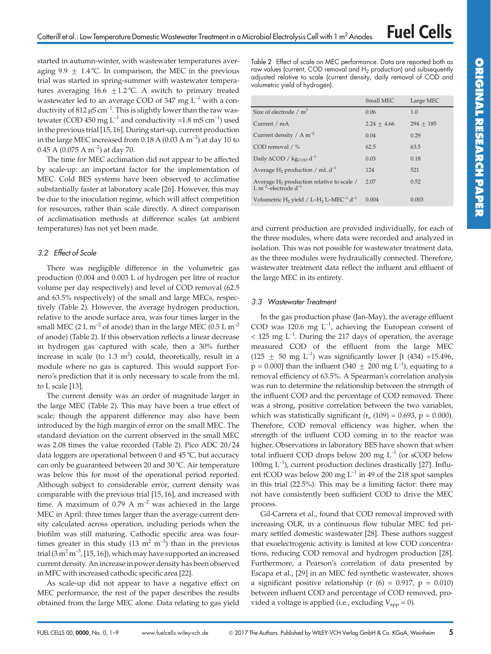started in autumn-winter, with wastewater temperatures averaging 9.9  $\pm$  1.4 °C. In comparison, the MEC in the previous trial was started in spring-summer with wastewater temperatures averaging  $16.6 \pm 1.2$  °C. A switch to primary treated wastewater led to an average COD of 347 mg  $L^{-1}$  with a conductivity of  $812 \mu S$  cm<sup>-1</sup>. This is slightly lower than the raw wastewater (COD 450 mg  $L^{-1}$  and conductivity =1.8 mS cm<sup>-1</sup>) used in the previous trial [15, 16]. During start-up, current production in the large MEC increased from  $0.18$  A ( $0.03$  A m<sup>-2</sup>) at day 10 to 0.45 A (0.075 A m<sup>-2</sup>) at day 70.

The time for MEC acclimation did not appear to be affected by scale-up: an important factor for the implementation of MEC. Cold BES systems have been observed to acclimatise substantially faster at laboratory scale [26]. However, this may be due to the inoculation regime, which will affect competition for resources, rather than scale directly. A direct comparison of acclimatisation methods at difference scales (at ambient temperatures) has not yet been made.

### 3.2 Effect of Scale

There was negligible difference in the volumetric gas production (0.004 and 0.003 L of hydrogen per litre of reactor volume per day respectively) and level of COD removal (62.5 and 63.5% respectively) of the small and large MECs, respectively (Table 2). However, the average hydrogen production, relative to the anode surface area, was four times larger in the small MEC (2 L m<sup>-2</sup> of anode) than in the large MEC (0.5 L m<sup>-2</sup> of anode) (Table 2). If this observation reflects a linear decrease in hydrogen gas captured with scale, then a 30% further increase in scale (to  $1.3 \text{ m}^2$ ) could, theoretically, result in a module where no gas is captured. This would support Fornero's prediction that it is only necessary to scale from the mL to L scale [13].

The current density was an order of magnitude larger in the large MEC (Table 2). This may have been a true effect of scale; though the apparent difference may also have been introduced by the high margin of error on the small MEC. The standard deviation on the current observed in the small MEC was 2.08 times the value recorded (Table 2). Pico ADC 20/24 data loggers are operational between 0 and 45 °C, but accuracy can only be guaranteed between 20 and 30 °C. Air temperature was below this for most of the operational period reported. Although subject to considerable error, current density was comparable with the previous trial [15, 16], and increased with time. A maximum of 0.79 A  $m^{-2}$  was achieved in the large MEC in April: three times larger than the average current density calculated across operation, including periods when the biofilm was still maturing. Cathodic specific area was fourtimes greater in this study (13 m<sup>2</sup> m<sup>-3</sup>) than in the previous trial  $(3 \text{ m}^2 \text{ m}^3, [15, 16])$ , which may have supported an increased current density. An increase in power density has been observed in MFC with increased cathodic specific area [22].

As scale-up did not appear to have a negative effect on MEC performance, the rest of the paper describes the results obtained from the large MEC alone. Data relating to gas yield Table 2 Effect of scale on MEC performance. Data are reported both as raw values (current, COD removal and H<sub>2</sub> production) and subsequently adjusted relative to scale (current density, daily removal of COD and volumetric yield of hydrogen).

|                                                                                        | Small MEC     | Large MEC   |
|----------------------------------------------------------------------------------------|---------------|-------------|
| Size of electrode / $m^2$                                                              | 0.06          | 1.0         |
| Current / mA                                                                           | $2.24 + 4.66$ | $294 + 185$ |
| Current density / A $m^{-2}$                                                           | 0.04          | 0.29        |
| COD removal $/$ %                                                                      | 62.5          | 63.5        |
| Daily $\triangle COD / \text{kg}_{COD} d^{-1}$                                         | 0.03          | 0.18        |
| Average H <sub>2</sub> production / mL $d^{-1}$                                        | 124           | 521         |
| Average $H_2$ production relative to scale /<br>L m <sup>-2</sup> -electrode $d^{-1}$  | 2.07          | 0.52        |
| Volumetric H <sub>2</sub> yield / L-H <sub>2</sub> L-MEC <sup>-1</sup> d <sup>-1</sup> | 0.004         | 0.003       |

and current production are provided individually, for each of the three modules, where data were recorded and analyzed in isolation. This was not possible for wastewater treatment data, as the three modules were hydraulically connected. Therefore, wastewater treatment data reflect the influent and effluent of the large MEC in its entirety.

### 3.3 Wastewater Treatment

In the gas production phase (Jan-May), the average effluent COD was 120.6 mg  $L^{-1}$ , achieving the European consent of  $<$  125 mg L<sup>-1</sup>. During the 217 days of operation, the average measured COD of the effluent from the large MEC  $(125 \pm 50 \text{ mg } L^{-1})$  was significantly lower [t (434) =15.496,  $p = 0.000$ ] than the influent (340  $\pm$  200 mg L<sup>-1</sup>), equating to a removal efficiency of 63.5%. A Spearman's correlation analysis was run to determine the relationship between the strength of the influent COD and the percentage of COD removed. There was a strong, positive correlation between the two variables, which was statistically significant ( $r_s$  (109) = 0.693, p = 0.000). Therefore, COD removal efficiency was higher, when the strength of the influent COD coming in to the reactor was higher. Observations in laboratory BES have shown that when total influent COD drops below 200 mg  $L^{-1}$  (or sCOD below  $100$ mg  $L^{-1}$ ), current production declines drastically [27]. Influent tCOD was below 200 mg  $L^{-1}$  in 49 of the 218 spot samples in this trial (22.5%). This may be a limiting factor: there may not have consistently been sufficient COD to drive the MEC process.

Gil-Carrera et al., found that COD removal improved with increasing OLR, in a continuous flow tubular MEC fed primary settled domestic wastewater [28]. These authors suggest that exoelectrogenic activity is limited at low COD concentrations, reducing COD removal and hydrogen production [28]. Furthermore, a Pearson's correlation of data presented by Escapa et al., [29] in an MEC fed synthetic wastewater, shows a significant positive relationship (r  $(6) = 0.917$ , p = 0.010) between influent COD and percentage of COD removed, provided a voltage is applied (i.e., excluding  $V_{app} = 0$ ).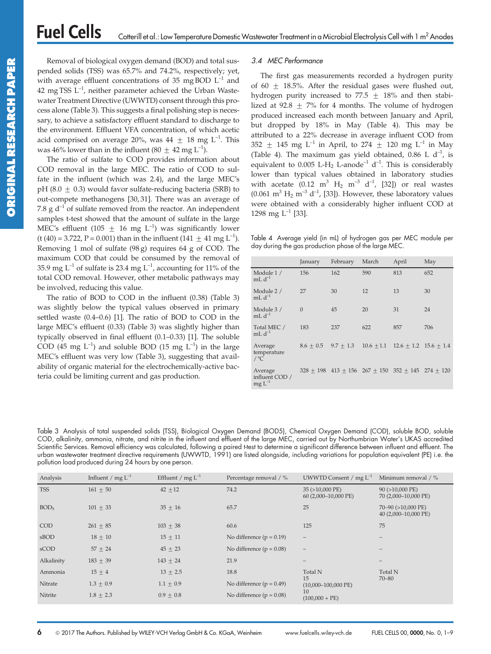Removal of biological oxygen demand (BOD) and total suspended solids (TSS) was 65.7% and 74.2%, respectively; yet, with average effluent concentrations of 35 mg BOD  $L^{-1}$  and 42 mg TSS  $L^{-1}$ , neither parameter achieved the Urban Wastewater Treatment Directive (UWWTD) consent through this process alone (Table 3). This suggests a final polishing step is necessary, to achieve a satisfactory effluent standard to discharge to the environment. Effluent VFA concentration, of which acetic acid comprised on average 20%, was  $44 \pm 18$  mg L<sup>-1</sup>. This was 46% lower than in the influent (80  $\pm$  42 mg L<sup>-1</sup>).

The ratio of sulfate to COD provides information about COD removal in the large MEC. The ratio of COD to sulfate in the influent (which was 2.4), and the large MEC's pH (8.0  $\pm$  0.3) would favor sulfate-reducing bacteria (SRB) to out-compete methanogens [30, 31]. There was an average of 7.8 g  $d^{-1}$  of sulfate removed from the reactor. An independent samples t-test showed that the amount of sulfate in the large MEC's effluent (105 + 16 mg  $L^{-1}$ ) was significantly lower (t (40) = 3.722, P = 0.001) than in the influent (141  $\pm$  41 mg L<sup>-1</sup>). Removing 1 mol of sulfate (98 g) requires 64 g of COD. The maximum COD that could be consumed by the removal of 35.9 mg  $L^{-1}$  of sulfate is 23.4 mg  $L^{-1}$ , accounting for 11% of the total COD removal. However, other metabolic pathways may be involved, reducing this value.

The ratio of BOD to COD in the influent (0.38) (Table 3) was slightly below the typical values observed in primary settled waste (0.4–0.6) [1]. The ratio of BOD to COD in the large MEC's effluent (0.33) (Table 3) was slightly higher than typically observed in final effluent (0.1–0.33) [1]. The soluble COD (45 mg  $L^{-1}$ ) and soluble BOD (15 mg  $L^{-1}$ ) in the large MEC's effluent was very low (Table 3), suggesting that availability of organic material for the electrochemically-active bacteria could be limiting current and gas production.

### 3.4 MEC Performance

The first gas measurements recorded a hydrogen purity of 60  $\pm$  18.5%. After the residual gases were flushed out, hydrogen purity increased to 77.5  $\pm$  18% and then stabilized at 92.8  $\pm$  7% for 4 months. The volume of hydrogen produced increased each month between January and April, but dropped by 18% in May (Table 4). This may be attributed to a 22% decrease in average influent COD from 352  $\pm$  145 mg L<sup>-1</sup> in April, to 274  $\pm$  120 mg L<sup>-1</sup> in May (Table 4). The maximum gas yield obtained, 0.86 L  $d^{-1}$ , is equivalent to  $0.005$  L-H<sub>2</sub> L-anode<sup>-1</sup> d<sup>-1</sup>. This is considerably lower than typical values obtained in laboratory studies with acetate (0.12 m<sup>3</sup> H<sub>2</sub> m<sup>-3</sup> d<sup>-1</sup>, [32]) or real wastes  $(0.061 \text{ m}^3 \text{ H}_2 \text{ m}^{-3} \text{ d}^{-1}$ , [33]). However, these laboratory values were obtained with a considerably higher influent COD at 1298 mg  $L^{-1}$  [33].

Table 4 Average yield (in mL) of hydrogen gas per MEC module per day during the gas production phase of the large MEC.

|                                          | January      | February                                                    | March | April                                        | May |
|------------------------------------------|--------------|-------------------------------------------------------------|-------|----------------------------------------------|-----|
| Module 1 /<br>$mL d^{-1}$                | 156          | 162                                                         | 590   | 813                                          | 652 |
| Module 2 /<br>$mL d^{-1}$                | 27           | 30                                                          | 12    | 13                                           | 30  |
| Module 3 /<br>$mL d^{-1}$                | $\mathbf{0}$ | 45                                                          | 20    | 31                                           | 24  |
| Total MEC /<br>$mL d^{-1}$               | 183          | 237                                                         | 622   | 857                                          | 706 |
| Average<br>temperature<br>$/$ °C         | $8.6 + 0.5$  | $9.7 + 1.3$                                                 |       | $10.6 \pm 1.1$ $12.6 \pm 1.2$ $15.6 \pm 1.4$ |     |
| Average<br>influent COD /<br>$mg L^{-1}$ |              | $328 + 198$ $413 + 156$ $267 + 150$ $352 + 145$ $274 + 120$ |       |                                              |     |

Table 3 Analysis of total suspended solids (TSS), Biological Oxygen Demand (BOD5), Chemical Oxygen Demand (COD), soluble BOD, soluble COD, alkalinity, ammonia, nitrate, and nitrite in the influent and effluent of the large MEC, carried out by Northumbrian Water's UKAS accredited Scientific Services. Removal efficiency was calculated, following a paired t-test to determine a significant difference between influent and effluent. The urban wastewater treatment directive requirements (UWWTD, 1991) are listed alongside, including variations for population equivalent (PE) i.e. the pollution load produced during 24 hours by one person.

| Analysis         | Influent / mg $L^{-1}$ | Effluent / mg $L^{-1}$ | Percentage removal / %       | UWWTD Consent / $mg L^{-1}$             | Minimum removal / %                             |
|------------------|------------------------|------------------------|------------------------------|-----------------------------------------|-------------------------------------------------|
| <b>TSS</b>       | $161 + 50$             | $42 + 12$              | 74.2                         | 35 (>10,000 PE)<br>60 (2,000-10,000 PE) | $90$ ( $>10,000$ PE)<br>70 (2,000-10,000 PE)    |
| BOD <sub>5</sub> | $101 \pm 33$           | $35 \pm 16$            | 65.7                         | 25                                      | $70-90$ ( $>10,000$ PE)<br>40 (2,000-10,000 PE) |
| COD              | $261 \pm 85$           | $103 \pm 38$           | 60.6                         | 125                                     | 75                                              |
| sBOD             | $18 \pm 10$            | $15 \pm 11$            | No difference ( $p = 0.19$ ) | $\overline{\phantom{m}}$                |                                                 |
| sCOD             | $57 + 24$              | $45 \pm 23$            | No difference ( $p = 0.08$ ) | $\overline{\phantom{m}}$                |                                                 |
| Alkalinity       | $183 \pm 39$           | $143 + 24$             | 21.9                         |                                         |                                                 |
| Ammonia          | $15 \pm 4$             | $13 + 2.5$             | 18.8                         | Total N                                 | Total N                                         |
| Nitrate          | $1.3 \pm 0.9$          | $1.1 \pm 0.9$          | No difference ( $p = 0.49$ ) | 15<br>$(10,000-100,000$ PE)             | $70 - 80$                                       |
| Nitrite          | $1.8 \pm 2.3$          | $0.9 + 0.8$            | No difference $(p = 0.08)$   | 10<br>$(100,000 + PE)$                  |                                                 |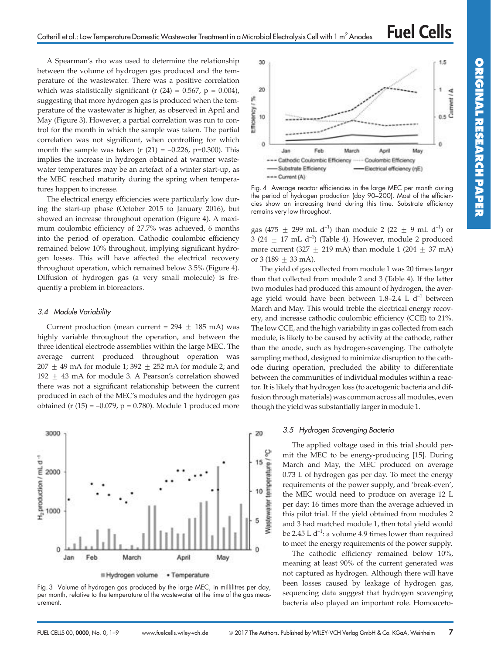A Spearman's rho was used to determine the relationship between the volume of hydrogen gas produced and the temperature of the wastewater. There was a positive correlation which was statistically significant (r  $(24) = 0.567$ , p = 0.004), suggesting that more hydrogen gas is produced when the temperature of the wastewater is higher, as observed in April and May (Figure 3). However, a partial correlation was run to control for the month in which the sample was taken. The partial correlation was not significant, when controlling for which month the sample was taken (r  $(21) = -0.226$ , p=0.300). This implies the increase in hydrogen obtained at warmer wastewater temperatures may be an artefact of a winter start-up, as the MEC reached maturity during the spring when temperatures happen to increase.

The electrical energy efficiencies were particularly low during the start-up phase (October 2015 to January 2016), but showed an increase throughout operation (Figure 4). A maximum coulombic efficiency of 27.7% was achieved, 6 months into the period of operation. Cathodic coulombic efficiency remained below 10% throughout, implying significant hydrogen losses. This will have affected the electrical recovery throughout operation, which remained below 3.5% (Figure 4). Diffusion of hydrogen gas (a very small molecule) is frequently a problem in bioreactors.

#### 3.4 Module Variability

Current production (mean current =  $294 \pm 185$  mA) was highly variable throughout the operation, and between the three identical electrode assemblies within the large MEC. The average current produced throughout operation was 207  $\pm$  49 mA for module 1; 392  $\pm$  252 mA for module 2; and 192  $\pm$  43 mA for module 3. A Pearson's correlation showed there was not a significant relationship between the current produced in each of the MEC's modules and the hydrogen gas obtained (r  $(15) = -0.079$ , p = 0.780). Module 1 produced more



Fig. 3 Volume of hydrogen gas produced by the large MEC, in millilitres per day, per month, relative to the temperature of the wastewater at the time of the gas measurement.



Fig. 4 Average reactor efficiencies in the large MEC per month during the period of hydrogen production (day 90–200). Most of the efficiencies show an increasing trend during this time. Substrate efficiency remains very low throughout.

gas (475  $\pm$  299 mL d<sup>-1</sup>) than module 2 (22  $\pm$  9 mL d<sup>-1</sup>) or 3 (24  $\pm$  17 mL d<sup>-1</sup>) (Table 4). However, module 2 produced more current (327  $\pm$  219 mA) than module 1 (204  $\pm$  37 mA) or  $3(189 \pm 33 \text{ mA})$ .

The yield of gas collected from module 1 was 20 times larger than that collected from module 2 and 3 (Table 4). If the latter two modules had produced this amount of hydrogen, the average yield would have been between 1.8–2.4 L  $d^{-1}$  between March and May. This would treble the electrical energy recovery, and increase cathodic coulombic efficiency (CCE) to 21%. The low CCE, and the high variability in gas collected from each module, is likely to be caused by activity at the cathode, rather than the anode, such as hydrogen-scavenging. The catholyte sampling method, designed to minimize disruption to the cathode during operation, precluded the ability to differentiate between the communities of individual modules within a reactor. It is likely that hydrogen loss (to acetogenic bacteria and diffusion through materials) was common across all modules, even though the yield was substantially larger in module 1.

#### 3.5 Hydrogen Scavenging Bacteria

The applied voltage used in this trial should permit the MEC to be energy-producing [15]. During March and May, the MEC produced on average 0.73 L of hydrogen gas per day. To meet the energy requirements of the power supply, and 'break-even', the MEC would need to produce on average 12 L per day: 16 times more than the average achieved in this pilot trial. If the yield obtained from modules 2 and 3 had matched module 1, then total yield would be 2.45 L  $d^{-1}$ : a volume 4.9 times lower than required to meet the energy requirements of the power supply.

The cathodic efficiency remained below 10%, meaning at least 90% of the current generated was not captured as hydrogen. Although there will have been losses caused by leakage of hydrogen gas, sequencing data suggest that hydrogen scavenging bacteria also played an important role. Homoaceto-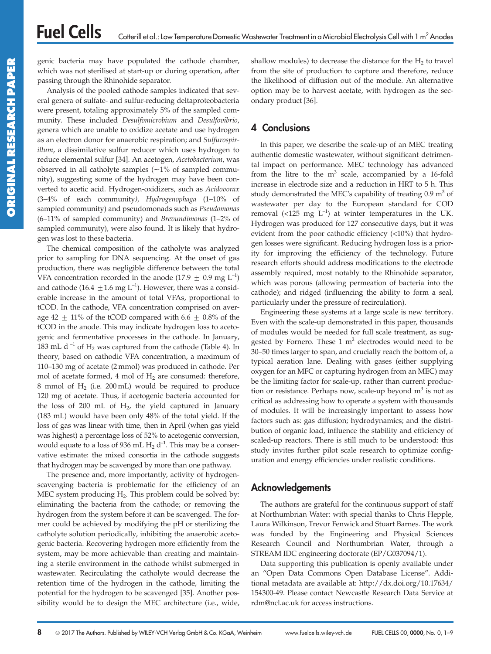genic bacteria may have populated the cathode chamber, which was not sterilised at start-up or during operation, after passing through the Rhinohide separator.

Analysis of the pooled cathode samples indicated that several genera of sulfate- and sulfur-reducing deltaproteobacteria were present, totaling approximately 5% of the sampled community. These included Desulfomicrobium and Desulfovibrio, genera which are unable to oxidize acetate and use hydrogen as an electron donor for anaerobic respiration; and Sulfurospirillum, a dissimilative sulfur reducer which uses hydrogen to reduce elemental sulfur [34]. An acetogen, Acetobacterium, was observed in all catholyte samples  $(\sim 1\%$  of sampled community), suggesting some of the hydrogen may have been converted to acetic acid. Hydrogen-oxidizers, such as Acidovorax (3–4% of each community), Hydrogenophaga (1–10% of sampled community) and pseudomonads such as Pseudomonas (6–11% of sampled community) and Brevundimonas (1–2% of sampled community), were also found. It is likely that hydrogen was lost to these bacteria.

The chemical composition of the catholyte was analyzed prior to sampling for DNA sequencing. At the onset of gas production, there was negligible difference between the total VFA concentration recorded in the anode (17.9  $\pm$  0.9 mg L<sup>-1</sup>) and cathode (16.4  $\pm$  1.6 mg L<sup>-1</sup>). However, there was a considerable increase in the amount of total VFAs, proportional to tCOD. In the cathode, VFA concentration comprised on average 42  $\pm$  11% of the tCOD compared with 6.6  $\pm$  0.8% of the tCOD in the anode. This may indicate hydrogen loss to acetogenic and fermentative processes in the cathode. In January, 183 mL d<sup>-1</sup> of  $H_2$  was captured from the cathode (Table 4). In theory, based on cathodic VFA concentration, a maximum of 110–130 mg of acetate (2 mmol) was produced in cathode. Per mol of acetate formed, 4 mol of  $H_2$  are consumed: therefore, 8 mmol of  $H_2$  (i.e. 200 mL) would be required to produce 120 mg of acetate. Thus, if acetogenic bacteria accounted for the loss of 200 mL of  $H<sub>2</sub>$ , the yield captured in January (183 mL) would have been only 48% of the total yield. If the loss of gas was linear with time, then in April (when gas yield was highest) a percentage loss of 52% to acetogenic conversion, would equate to a loss of 936 mL  $H_2$  d<sup>-1</sup>. This may be a conservative estimate: the mixed consortia in the cathode suggests that hydrogen may be scavenged by more than one pathway.

The presence and, more importantly, activity of hydrogenscavenging bacteria is problematic for the efficiency of an MEC system producing  $H_2$ . This problem could be solved by: eliminating the bacteria from the cathode; or removing the hydrogen from the system before it can be scavenged. The former could be achieved by modifying the pH or sterilizing the catholyte solution periodically, inhibiting the anaerobic acetogenic bacteria. Recovering hydrogen more efficiently from the system, may be more achievable than creating and maintaining a sterile environment in the cathode whilst submerged in wastewater. Recirculating the catholyte would decrease the retention time of the hydrogen in the cathode, limiting the potential for the hydrogen to be scavenged [35]. Another possibility would be to design the MEC architecture (i.e., wide, shallow modules) to decrease the distance for the  $H_2$  to travel from the site of production to capture and therefore, reduce the likelihood of diffusion out of the module. An alternative option may be to harvest acetate, with hydrogen as the secondary product [36].

# 4 Conclusions

In this paper, we describe the scale-up of an MEC treating authentic domestic wastewater, without significant detrimental impact on performance. MEC technology has advanced from the litre to the  $m<sup>3</sup>$  scale, accompanied by a 16-fold increase in electrode size and a reduction in HRT to 5 h. This study demonstrated the MEC's capability of treating  $0.9 \text{ m}^3$  of wastewater per day to the European standard for COD removal (<125 mg  $L^{-1}$ ) at winter temperatures in the UK. Hydrogen was produced for 127 consecutive days, but it was evident from the poor cathodic efficiency (<10%) that hydrogen losses were significant. Reducing hydrogen loss is a priority for improving the efficiency of the technology. Future research efforts should address modifications to the electrode assembly required, most notably to the Rhinohide separator, which was porous (allowing permeation of bacteria into the cathode); and ridged (influencing the ability to form a seal, particularly under the pressure of recirculation).

Engineering these systems at a large scale is new territory. Even with the scale-up demonstrated in this paper, thousands of modules would be needed for full scale treatment, as suggested by Fornero. These  $1 \text{ m}^2$  electrodes would need to be 30–50 times larger to span, and crucially reach the bottom of, a typical aeration lane. Dealing with gases (either supplying oxygen for an MFC or capturing hydrogen from an MEC) may be the limiting factor for scale-up, rather than current production or resistance. Perhaps now, scale-up beyond  $m<sup>3</sup>$  is not as critical as addressing how to operate a system with thousands of modules. It will be increasingly important to assess how factors such as: gas diffusion; hydrodynamics; and the distribution of organic load, influence the stability and efficiency of scaled-up reactors. There is still much to be understood: this study invites further pilot scale research to optimize configuration and energy efficiencies under realistic conditions.

# Acknowledgements

The authors are grateful for the continuous support of staff at Northumbrian Water: with special thanks to Chris Hepple, Laura Wilkinson, Trevor Fenwick and Stuart Barnes. The work was funded by the Engineering and Physical Sciences Research Council and Northumbrian Water, through a STREAM IDC engineering doctorate (EP/G037094/1).

Data supporting this publication is openly available under an ''Open Data Commons Open Database License''. Additional metadata are available at: http://dx.doi.org/10.17634/ 154300-49. Please contact Newcastle Research Data Service at rdm@ncl.ac.uk for access instructions.